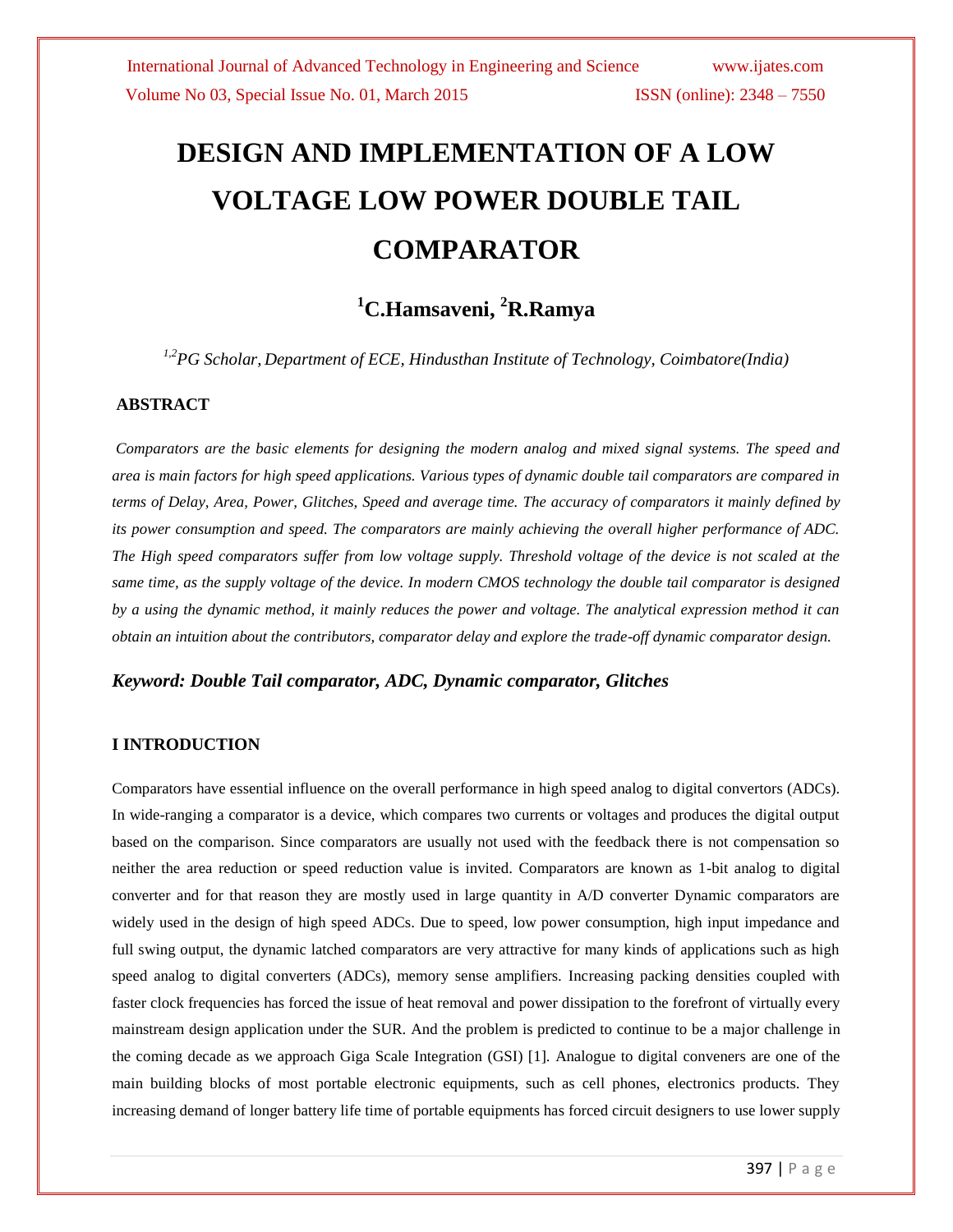# **DESIGN AND IMPLEMENTATION OF A LOW VOLTAGE LOW POWER DOUBLE TAIL COMPARATOR**

# **<sup>1</sup>C.Hamsaveni, <sup>2</sup>R.Ramya**

*1,2PG Scholar, Department of ECE, Hindusthan Institute of Technology, Coimbatore(India)*

#### **ABSTRACT**

*Comparators are the basic elements for designing the modern analog and mixed signal systems. The speed and area is main factors for high speed applications. Various types of dynamic double tail comparators are compared in terms of Delay, Area, Power, Glitches, Speed and average time. The accuracy of comparators it mainly defined by its power consumption and speed. The comparators are mainly achieving the overall higher performance of ADC. The High speed comparators suffer from low voltage supply. Threshold voltage of the device is not scaled at the same time, as the supply voltage of the device. In modern CMOS technology the double tail comparator is designed by a using the dynamic method, it mainly reduces the power and voltage. The analytical expression method it can obtain an intuition about the contributors, comparator delay and explore the trade-off dynamic comparator design.*

#### *Keyword: Double Tail comparator, ADC, Dynamic comparator, Glitches*

#### **I INTRODUCTION**

Comparators have essential influence on the overall performance in high speed analog to digital convertors (ADCs). In wide-ranging a comparator is a device, which compares two currents or voltages and produces the digital output based on the comparison. Since comparators are usually not used with the feedback there is not compensation so neither the area reduction or speed reduction value is invited. Comparators are known as 1-bit analog to digital converter and for that reason they are mostly used in large quantity in A/D converter Dynamic comparators are widely used in the design of high speed ADCs. Due to speed, low power consumption, high input impedance and full swing output, the dynamic latched comparators are very attractive for many kinds of applications such as high speed analog to digital converters (ADCs), memory sense amplifiers. Increasing packing densities coupled with faster clock frequencies has forced the issue of heat removal and power dissipation to the forefront of virtually every mainstream design application under the SUR. And the problem is predicted to continue to be a major challenge in the coming decade as we approach Giga Scale Integration (GSI) [1]. Analogue to digital conveners are one of the main building blocks of most portable electronic equipments, such as cell phones, electronics products. They increasing demand of longer battery life time of portable equipments has forced circuit designers to use lower supply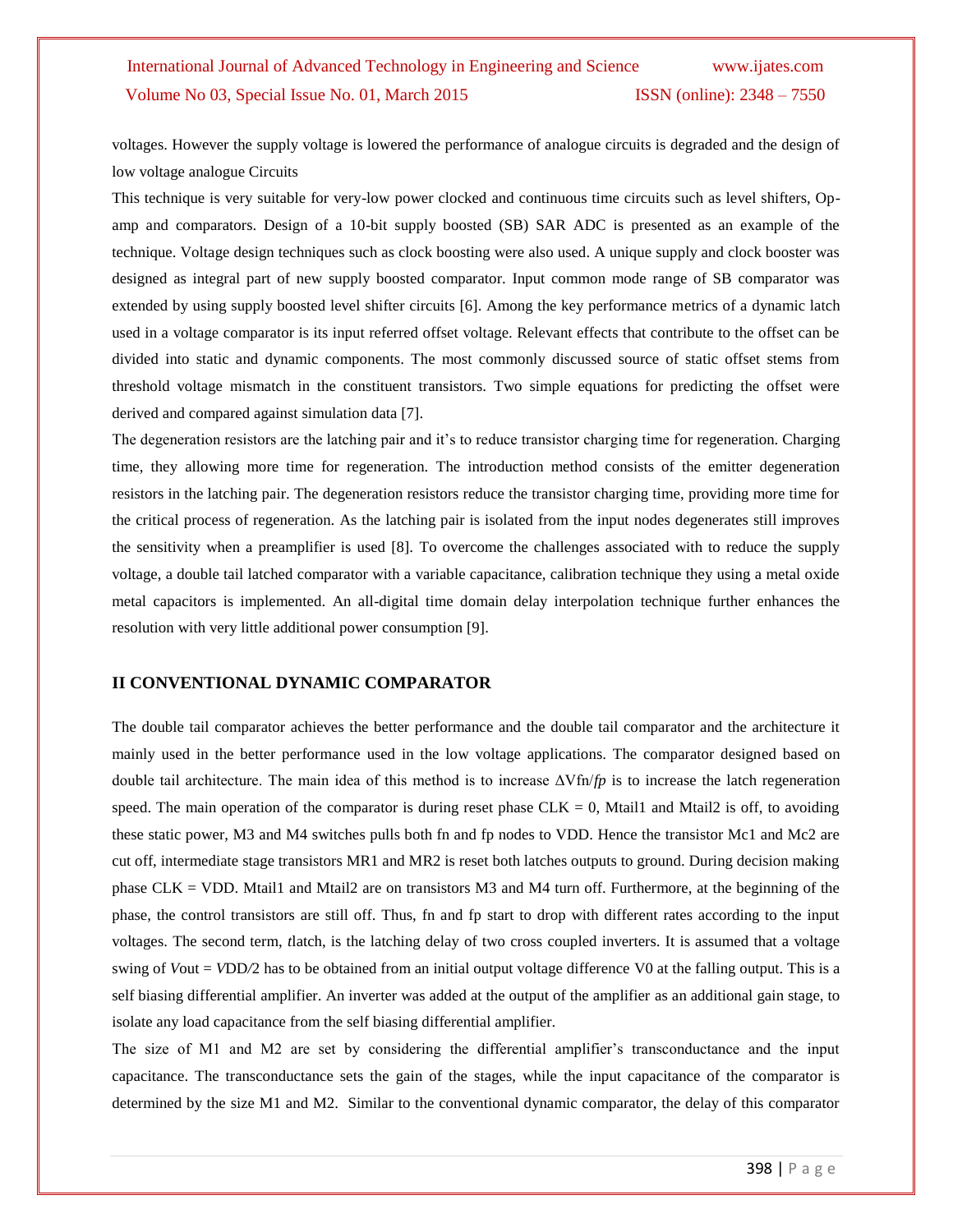# International Journal of Advanced Technology in Engineering and Science [www.ijates.com](http://www.ijates.com/) Volume No 03, Special Issue No. 01, March 2015 ISSN (online): 2348 – 7550

voltages. However the supply voltage is lowered the performance of analogue circuits is degraded and the design of low voltage analogue Circuits

This technique is very suitable for very-low power clocked and continuous time circuits such as level shifters, Opamp and comparators. Design of a 10-bit supply boosted (SB) SAR ADC is presented as an example of the technique. Voltage design techniques such as clock boosting were also used. A unique supply and clock booster was designed as integral part of new supply boosted comparator. Input common mode range of SB comparator was extended by using supply boosted level shifter circuits [6]. Among the key performance metrics of a dynamic latch used in a voltage comparator is its input referred offset voltage. Relevant effects that contribute to the offset can be divided into static and dynamic components. The most commonly discussed source of static offset stems from threshold voltage mismatch in the constituent transistors. Two simple equations for predicting the offset were derived and compared against simulation data [7].

The degeneration resistors are the latching pair and it's to reduce transistor charging time for regeneration. Charging time, they allowing more time for regeneration. The introduction method consists of the emitter degeneration resistors in the latching pair. The degeneration resistors reduce the transistor charging time, providing more time for the critical process of regeneration. As the latching pair is isolated from the input nodes degenerates still improves the sensitivity when a preamplifier is used [8]. To overcome the challenges associated with to reduce the supply voltage, a double tail latched comparator with a variable capacitance, calibration technique they using a metal oxide metal capacitors is implemented. An all-digital time domain delay interpolation technique further enhances the resolution with very little additional power consumption [9].

#### **II CONVENTIONAL DYNAMIC COMPARATOR**

The double tail comparator achieves the better performance and the double tail comparator and the architecture it mainly used in the better performance used in the low voltage applications. The comparator designed based on double tail architecture. The main idea of this method is to increase ΔVfn/*fp* is to increase the latch regeneration speed. The main operation of the comparator is during reset phase  $CLK = 0$ , Mtail1 and Mtail2 is off, to avoiding these static power, M3 and M4 switches pulls both fn and fp nodes to VDD. Hence the transistor Mc1 and Mc2 are cut off, intermediate stage transistors MR1 and MR2 is reset both latches outputs to ground. During decision making phase CLK = VDD. Mtail1 and Mtail2 are on transistors M3 and M4 turn off. Furthermore, at the beginning of the phase, the control transistors are still off. Thus, fn and fp start to drop with different rates according to the input voltages. The second term, *t*latch, is the latching delay of two cross coupled inverters. It is assumed that a voltage swing of *Vout* = *VDD*/2 has to be obtained from an initial output voltage difference V0 at the falling output. This is a self biasing differential amplifier. An inverter was added at the output of the amplifier as an additional gain stage, to isolate any load capacitance from the self biasing differential amplifier.

The size of M1 and M2 are set by considering the differential amplifier's transconductance and the input capacitance. The transconductance sets the gain of the stages, while the input capacitance of the comparator is determined by the size M1 and M2. Similar to the conventional dynamic comparator, the delay of this comparator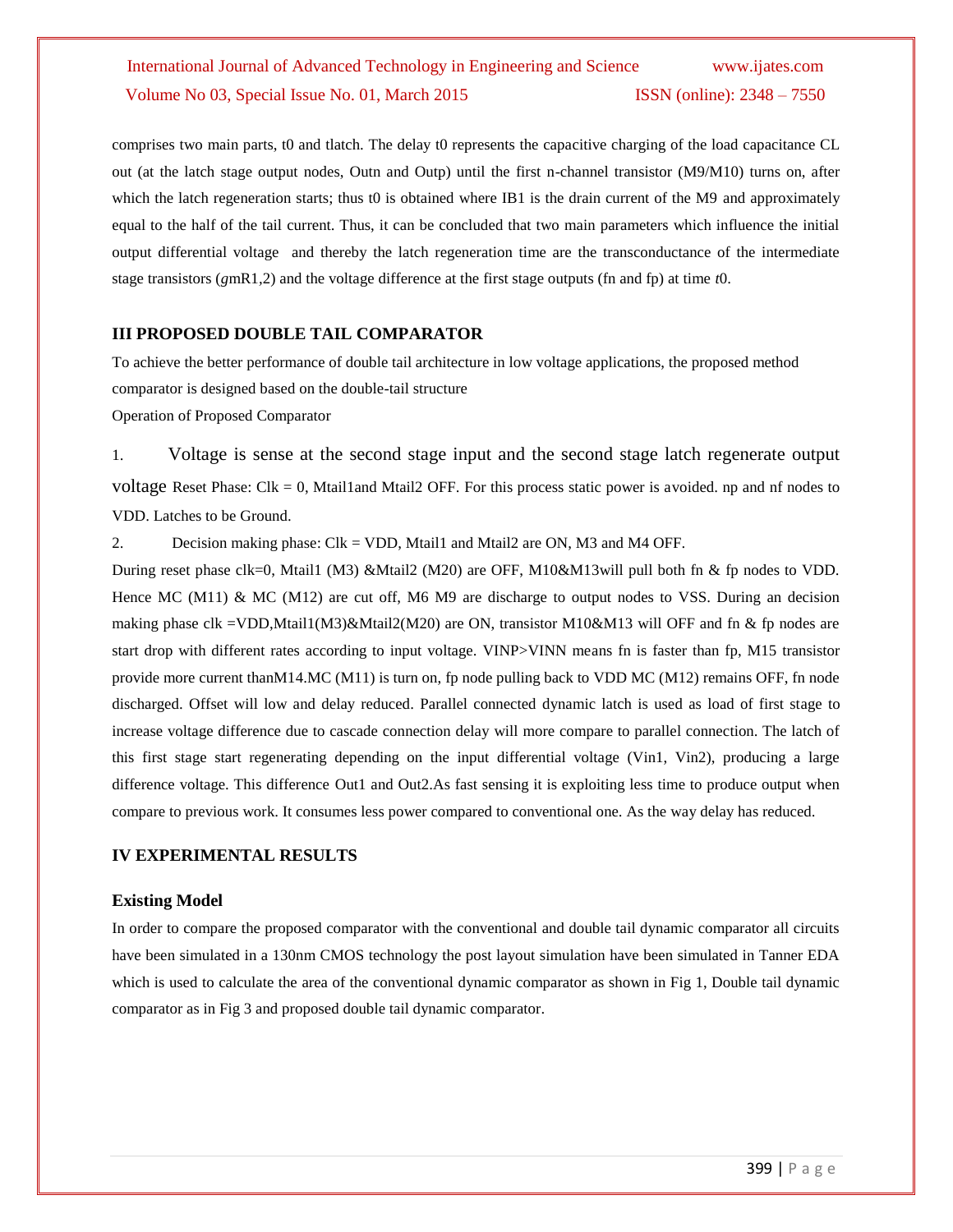# International Journal of Advanced Technology in Engineering and Science [www.ijates.com](http://www.ijates.com/) Volume No 03, Special Issue No. 01, March 2015 ISSN (online): 2348 – 7550

comprises two main parts, t0 and tlatch. The delay t0 represents the capacitive charging of the load capacitance CL out (at the latch stage output nodes, Outn and Outp) until the first n-channel transistor (M9/M10) turns on, after which the latch regeneration starts; thus t0 is obtained where IB1 is the drain current of the M9 and approximately equal to the half of the tail current. Thus, it can be concluded that two main parameters which influence the initial output differential voltage and thereby the latch regeneration time are the transconductance of the intermediate stage transistors (*g*mR1*,*2) and the voltage difference at the first stage outputs (fn and fp) at time *t*0.

#### **III PROPOSED DOUBLE TAIL COMPARATOR**

To achieve the better performance of double tail architecture in low voltage applications, the proposed method comparator is designed based on the double-tail structure

Operation of Proposed Comparator

1. Voltage is sense at the second stage input and the second stage latch regenerate output voltage Reset Phase:  $Clk = 0$ , Mtail1and Mtail2 OFF. For this process static power is avoided. np and nf nodes to VDD. Latches to be Ground.

2. Decision making phase: Clk = VDD, Mtail1 and Mtail2 are ON, M3 and M4 OFF.

During reset phase clk=0, Mtail1 (M3) &Mtail2 (M20) are OFF, M10&M13will pull both fn & fp nodes to VDD. Hence MC (M11) & MC (M12) are cut off, M6 M9 are discharge to output nodes to VSS. During an decision making phase clk =VDD,Mtail1(M3)&Mtail2(M20) are ON, transistor M10&M13 will OFF and fn & fp nodes are start drop with different rates according to input voltage. VINP>VINN means fn is faster than fp, M15 transistor provide more current thanM14.MC (M11) is turn on, fp node pulling back to VDD MC (M12) remains OFF, fn node discharged. Offset will low and delay reduced. Parallel connected dynamic latch is used as load of first stage to increase voltage difference due to cascade connection delay will more compare to parallel connection. The latch of this first stage start regenerating depending on the input differential voltage (Vin1, Vin2), producing a large difference voltage. This difference Out1 and Out2.As fast sensing it is exploiting less time to produce output when compare to previous work. It consumes less power compared to conventional one. As the way delay has reduced.

#### **IV EXPERIMENTAL RESULTS**

#### **Existing Model**

In order to compare the proposed comparator with the conventional and double tail dynamic comparator all circuits have been simulated in a 130nm CMOS technology the post layout simulation have been simulated in Tanner EDA which is used to calculate the area of the conventional dynamic comparator as shown in Fig 1, Double tail dynamic comparator as in Fig 3 and proposed double tail dynamic comparator.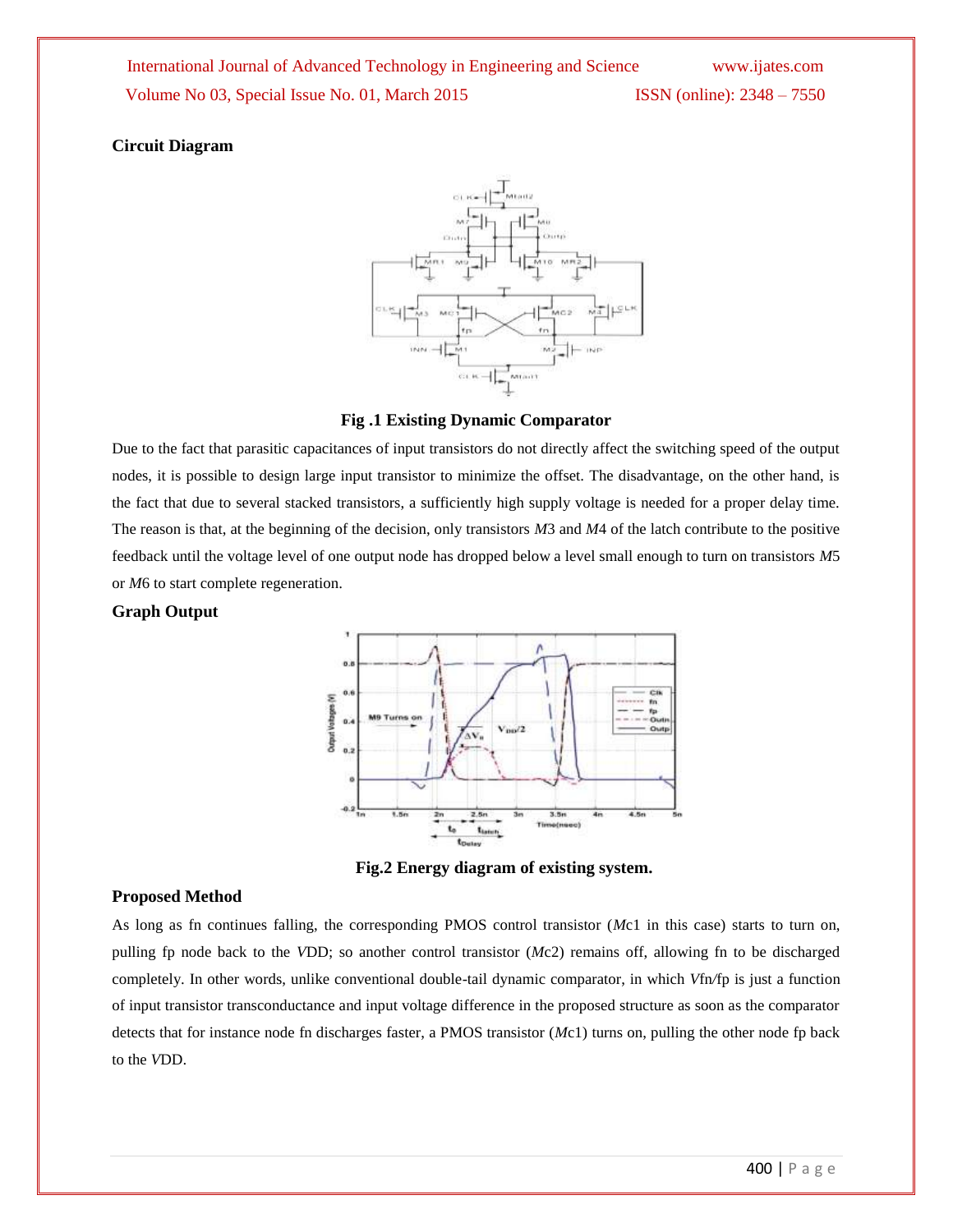#### **Circuit Diagram**



#### **Fig .1 Existing Dynamic Comparator**

Due to the fact that parasitic capacitances of input transistors do not directly affect the switching speed of the output nodes, it is possible to design large input transistor to minimize the offset. The disadvantage, on the other hand, is the fact that due to several stacked transistors, a sufficiently high supply voltage is needed for a proper delay time. The reason is that, at the beginning of the decision, only transistors *M*3 and *M*4 of the latch contribute to the positive feedback until the voltage level of one output node has dropped below a level small enough to turn on transistors *M*5 or *M*6 to start complete regeneration.

#### **Graph Output**



**Fig.2 Energy diagram of existing system.**

#### **Proposed Method**

As long as fn continues falling, the corresponding PMOS control transistor (*M*c1 in this case) starts to turn on, pulling fp node back to the *V*DD; so another control transistor (*M*c2) remains off, allowing fn to be discharged completely. In other words, unlike conventional double-tail dynamic comparator, in which *V*fn*/*fp is just a function of input transistor transconductance and input voltage difference in the proposed structure as soon as the comparator detects that for instance node fn discharges faster, a PMOS transistor (*M*c1) turns on, pulling the other node fp back to the *V*DD.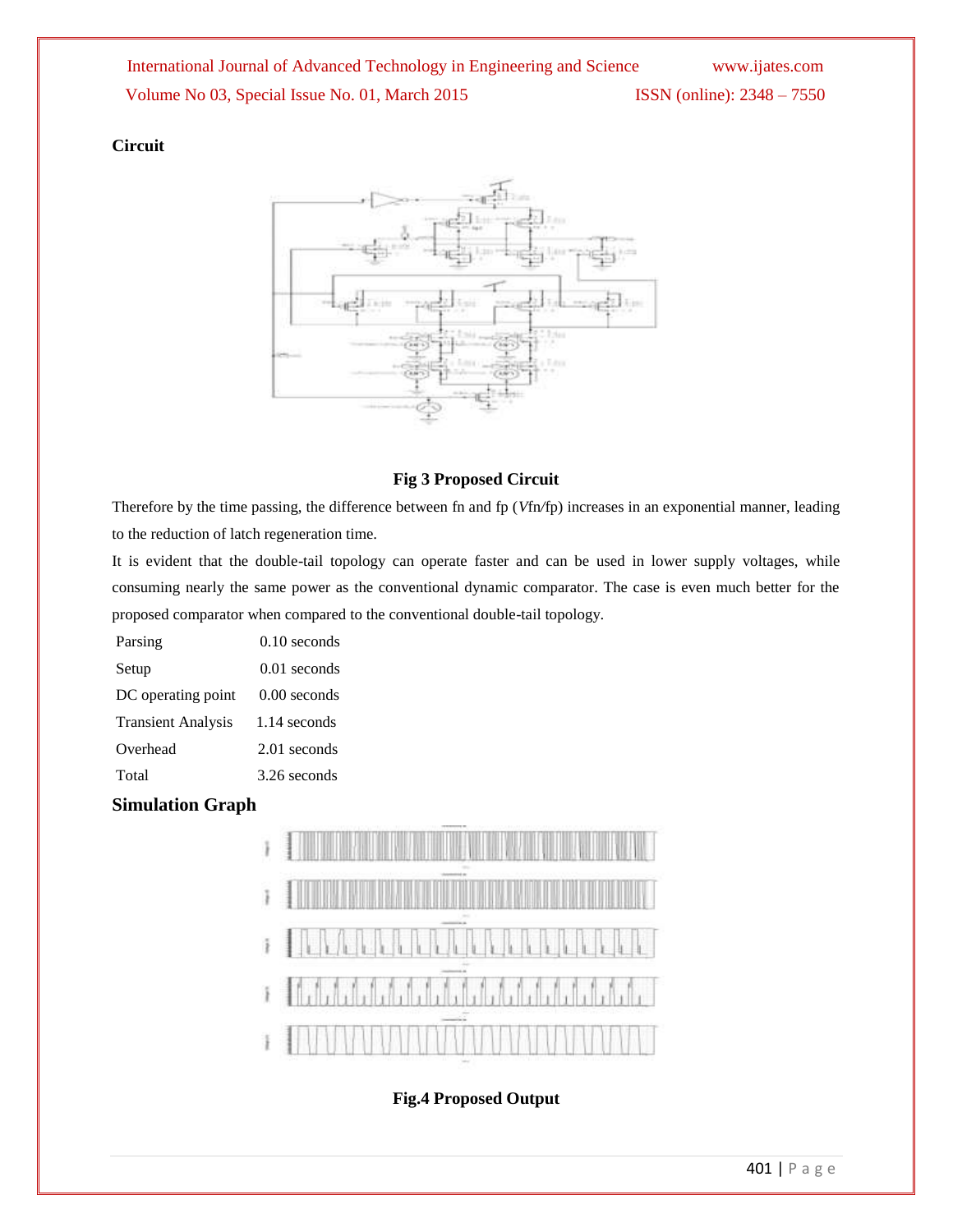## **Circuit**



### **Fig 3 Proposed Circuit**

Therefore by the time passing, the difference between fn and fp (*V*fn*/*fp) increases in an exponential manner, leading to the reduction of latch regeneration time.

It is evident that the double-tail topology can operate faster and can be used in lower supply voltages, while consuming nearly the same power as the conventional dynamic comparator. The case is even much better for the proposed comparator when compared to the conventional double-tail topology.

| Parsing                   | $0.10$ seconds |
|---------------------------|----------------|
| Setup                     | $0.01$ seconds |
| DC operating point        | $0.00$ seconds |
| <b>Transient Analysis</b> | 1.14 seconds   |
| Overhead                  | 2.01 seconds   |
| Total                     | 3.26 seconds   |

## **Simulation Graph**



## **Fig.4 Proposed Output**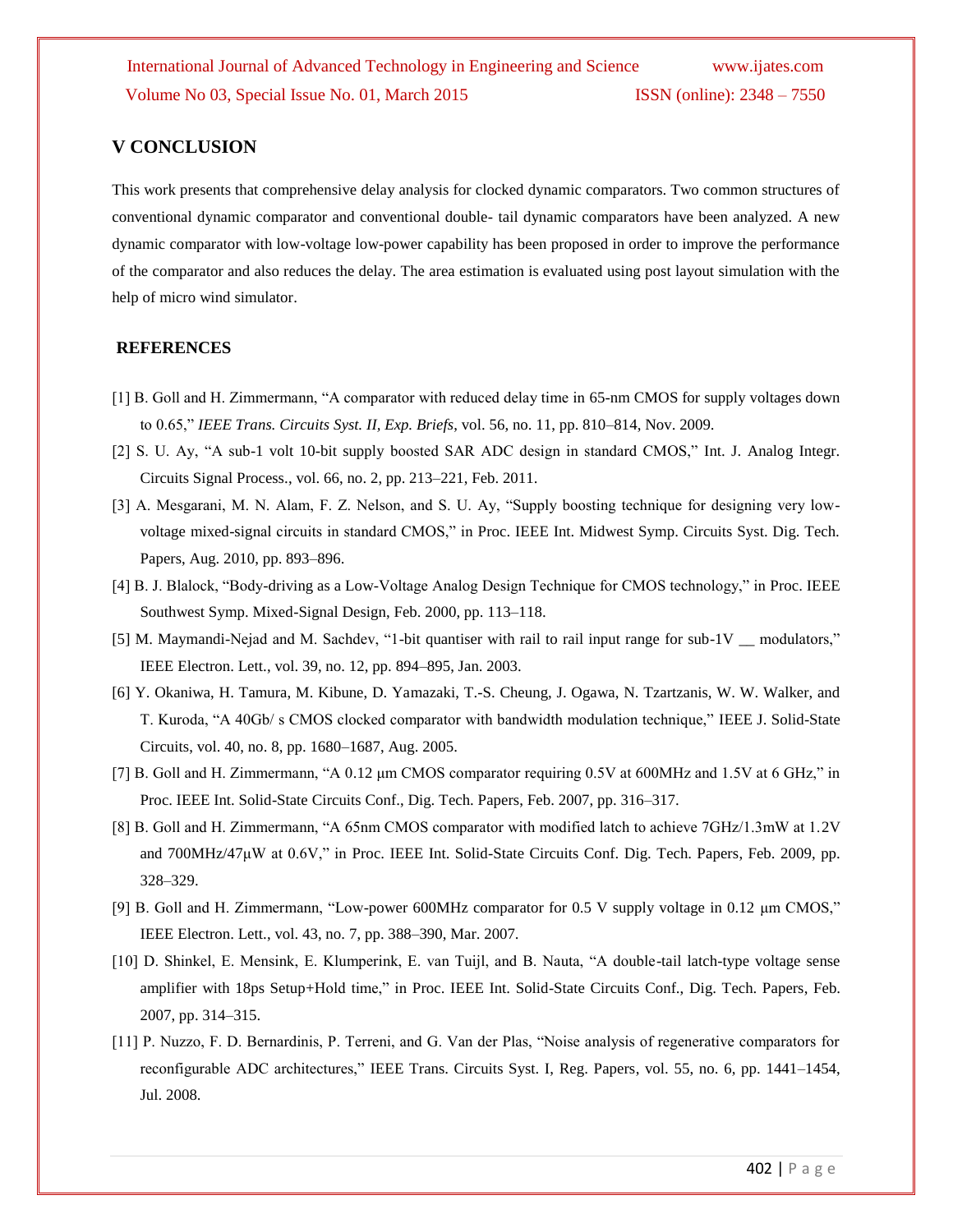#### **V CONCLUSION**

This work presents that comprehensive delay analysis for clocked dynamic comparators. Two common structures of conventional dynamic comparator and conventional double- tail dynamic comparators have been analyzed. A new dynamic comparator with low-voltage low-power capability has been proposed in order to improve the performance of the comparator and also reduces the delay. The area estimation is evaluated using post layout simulation with the help of micro wind simulator.

#### **REFERENCES**

- [1] B. Goll and H. Zimmermann, "A comparator with reduced delay time in 65-nm CMOS for supply voltages down to 0.65," *IEEE Trans. Circuits Syst. II, Exp. Briefs*, vol. 56, no. 11, pp. 810–814, Nov. 2009.
- [2] S. U. Ay, "A sub-1 volt 10-bit supply boosted SAR ADC design in standard CMOS," Int. J. Analog Integr. Circuits Signal Process., vol. 66, no. 2, pp. 213–221, Feb. 2011.
- [3] A. Mesgarani, M. N. Alam, F. Z. Nelson, and S. U. Ay, "Supply boosting technique for designing very lowvoltage mixed-signal circuits in standard CMOS," in Proc. IEEE Int. Midwest Symp. Circuits Syst. Dig. Tech. Papers, Aug. 2010, pp. 893–896.
- [4] B. J. Blalock, "Body-driving as a Low-Voltage Analog Design Technique for CMOS technology," in Proc. IEEE Southwest Symp. Mixed-Signal Design, Feb. 2000, pp. 113–118.
- [5] M. Maymandi-Nejad and M. Sachdev, "1-bit quantiser with rail to rail input range for sub-1V \_\_ modulators," IEEE Electron. Lett., vol. 39, no. 12, pp. 894–895, Jan. 2003.
- [6] Y. Okaniwa, H. Tamura, M. Kibune, D. Yamazaki, T.-S. Cheung, J. Ogawa, N. Tzartzanis, W. W. Walker, and T. Kuroda, "A 40Gb/ s CMOS clocked comparator with bandwidth modulation technique," IEEE J. Solid-State Circuits, vol. 40, no. 8, pp. 1680–1687, Aug. 2005.
- [7] B. Goll and H. Zimmermann, "A 0.12 μm CMOS comparator requiring 0.5V at 600MHz and 1.5V at 6 GHz," in Proc. IEEE Int. Solid-State Circuits Conf., Dig. Tech. Papers, Feb. 2007, pp. 316–317.
- [8] B. Goll and H. Zimmermann, "A 65nm CMOS comparator with modified latch to achieve 7GHz/1.3mW at 1.2V and 700MHz/47μW at 0.6V," in Proc. IEEE Int. Solid-State Circuits Conf. Dig. Tech. Papers, Feb. 2009, pp. 328–329.
- [9] B. Goll and H. Zimmermann, "Low-power 600MHz comparator for 0.5 V supply voltage in 0.12 μm CMOS," IEEE Electron. Lett., vol. 43, no. 7, pp. 388–390, Mar. 2007.
- [10] D. Shinkel, E. Mensink, E. Klumperink, E. van Tuijl, and B. Nauta, "A double-tail latch-type voltage sense amplifier with 18ps Setup+Hold time," in Proc. IEEE Int. Solid-State Circuits Conf., Dig. Tech. Papers, Feb. 2007, pp. 314–315.
- [11] P. Nuzzo, F. D. Bernardinis, P. Terreni, and G. Van der Plas, "Noise analysis of regenerative comparators for reconfigurable ADC architectures," IEEE Trans. Circuits Syst. I, Reg. Papers, vol. 55, no. 6, pp. 1441–1454, Jul. 2008.